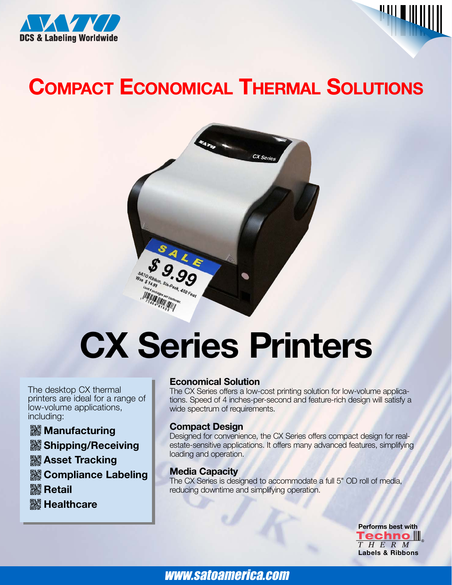



# **COMPACT ECONOMICAL THERMAL SOLUTIONS**



# **CX Series Printers**

The desktop CX thermal printers are ideal for a range of low-volume applications, including:

# **XXXX** Manufacturing

**& Shipping/Receiving** 

- **Asset Tracking**
- *<b>R* Compliance Labeling

**|| Retail** 

**| Healthcare** 

# **Economical Solution**

The CX Series offers a low-cost printing solution for low-volume applications. Speed of 4 inches-per-second and feature-rich design will satisfy a wide spectrum of requirements.

# **Compact Design**

Designed for convenience, the CX Series offers compact design for realestate-sensitive applications. It offers many advanced features, simplifying loading and operation.

# **Media Capacity**

The CX Series is designed to accommodate a full 5" OD roll of media, reducing downtime and simplifying operation.

> **Performs best with<br>
> Techno**  $\parallel$ **Labels & Ribbons**

www.satoamerica.com